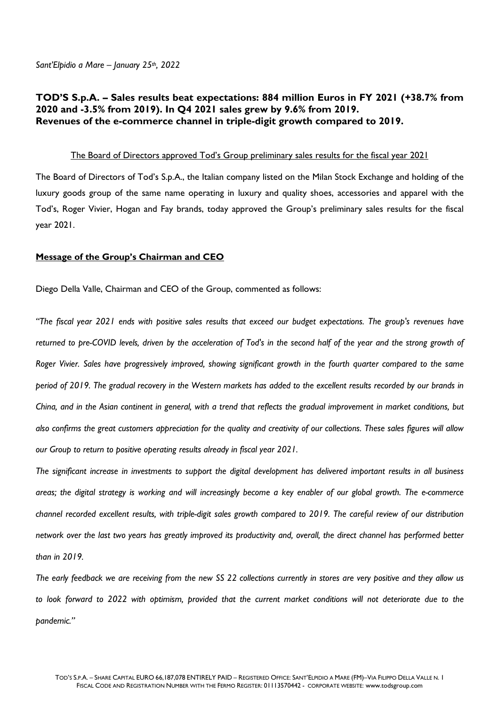## **TOD'S S.p.A. – Sales results beat expectations: 884 million Euros in FY 2021 (+38.7% from 2020 and -3.5% from 2019). In Q4 2021 sales grew by 9.6% from 2019. Revenues of the e-commerce channel in triple-digit growth compared to 2019.**

#### The Board of Directors approved Tod's Group preliminary sales results for the fiscal year 2021

The Board of Directors of Tod's S.p.A., the Italian company listed on the Milan Stock Exchange and holding of the luxury goods group of the same name operating in luxury and quality shoes, accessories and apparel with the Tod's, Roger Vivier, Hogan and Fay brands, today approved the Group's preliminary sales results for the fiscal year 2021.

#### **Message of the Group's Chairman and CEO**

Diego Della Valle, Chairman and CEO of the Group, commented as follows:

*"The fiscal year 2021 ends with positive sales results that exceed our budget expectations. The group's revenues have returned to pre-COVID levels, driven by the acceleration of Tod's in the second half of the year and the strong growth of Roger Vivier. Sales have progressively improved, showing significant growth in the fourth quarter compared to the same period of 2019. The gradual recovery in the Western markets has added to the excellent results recorded by our brands in China, and in the Asian continent in general, with a trend that reflects the gradual improvement in market conditions, but also confirms the great customers appreciation for the quality and creativity of our collections. These sales figures will allow our Group to return to positive operating results already in fiscal year 2021.* 

*The significant increase in investments to support the digital development has delivered important results in all business areas; the digital strategy is working and will increasingly become a key enabler of our global growth. The e-commerce channel recorded excellent results, with triple-digit sales growth compared to 2019. The careful review of our distribution network over the last two years has greatly improved its productivity and, overall, the direct channel has performed better than in 2019.* 

*The early feedback we are receiving from the new SS 22 collections currently in stores are very positive and they allow us*  to look forward to 2022 with optimism, provided that the current market conditions will not deteriorate due to the *pandemic."*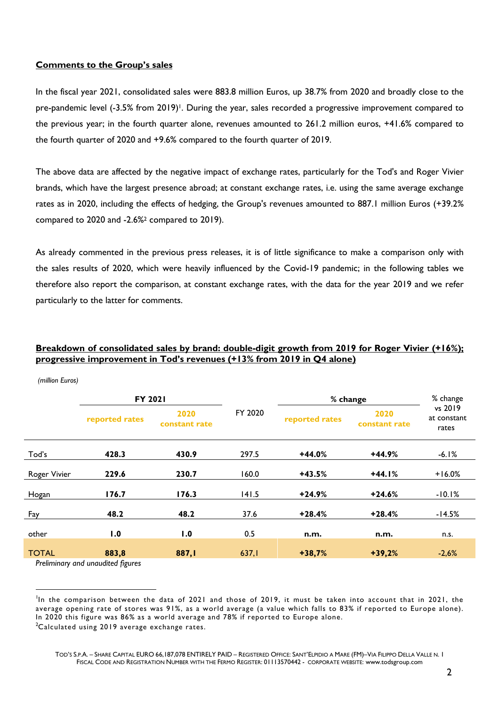#### **Comments to the Group's sales**

In the fiscal year 2021, consolidated sales were 883.8 million Euros, up 38.7% from 2020 and broadly close to the pre-pandemic level (-3.5% from 2019)<sup>1</sup>. During the year, sales recorded a progressive improvement compared to the previous year; in the fourth quarter alone, revenues amounted to 261.2 million euros, +41.6% compared to the fourth quarter of 2020 and +9.6% compared to the fourth quarter of 2019.

The above data are affected by the negative impact of exchange rates, particularly for the Tod's and Roger Vivier brands, which have the largest presence abroad; at constant exchange rates, i.e. using the same average exchange rates as in 2020, including the effects of hedging, the Group's revenues amounted to 887.1 million Euros (+39.2% compared to 2020 and -2.6%2 compared to 2019).

As already commented in the previous press releases, it is of little significance to make a comparison only with the sales results of 2020, which were heavily influenced by the Covid-19 pandemic; in the following tables we therefore also report the comparison, at constant exchange rates, with the data for the year 2019 and we refer particularly to the latter for comments.

### **Breakdown of consolidated sales by brand: double-digit growth from 2019 for Roger Vivier (+16%); progressive improvement in Tod's revenues (+13% from 2019 in Q4 alone)**

|              | FY 2021        |                       |         | % change       |                       | % change                        |
|--------------|----------------|-----------------------|---------|----------------|-----------------------|---------------------------------|
|              | reported rates | 2020<br>constant rate | FY 2020 | reported rates | 2020<br>constant rate | vs 2019<br>at constant<br>rates |
| Tod's        | 428.3          | 430.9                 | 297.5   | $+44.0%$       | +44.9%                | $-6.1%$                         |
| Roger Vivier | 229.6          | 230.7                 | 160.0   | $+43.5%$       | $+44.1%$              | $+16.0%$                        |
| Hogan        | 176.7          | 176.3                 | 141.5   | $+24.9%$       | $+24.6%$              | $-10.1%$                        |
| Fay          | 48.2           | 48.2                  | 37.6    | $+28.4%$       | $+28.4%$              | $-14.5%$                        |
| other        | 1.0            | 1.0                   | 0.5     | n.m.           | n.m.                  | n.s.                            |
| <b>TOTAL</b> | 883,8          | 887, I                | 637,1   | $+38,7%$       | $+39,2%$              | $-2,6%$                         |

 *(million Euros)* 

*Preliminary and unaudited figures*

In the comparison between the data of 2021 and those of 2019, it must be taken into account that in 2021, the average opening rate of stores was 91%, as a world average (a value which falls to 83% if reported to Europe alone). In 2020 this figure was 86% as a world average and 78% if reported to Europe alone. <sup>2</sup>Calculated using 2019 average exchange rates.

TOD'S S.P.A. – SHARE CAPITAL EURO 66,187,078 ENTIRELY PAID – REGISTERED OFFICE: SANT'ELPIDIO A MARE (FM)–VIA FILIPPO DELLA VALLE N. 1 FISCAL CODE AND REGISTRATION NUMBER WITH THE FERMO REGISTER: 01113570442 - CORPORATE WEBSITE: www.todsgroup.com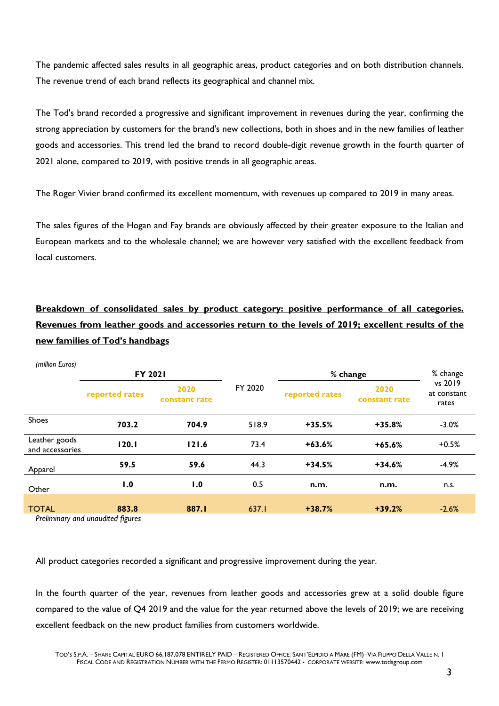The pandemic affected sales results in all geographic areas, product categories and on both distribution channels. The revenue trend of each brand reflects its geographical and channel mix.

The Tod's brand recorded a progressive and significant improvement in revenues during the year, confirming the strong appreciation by customers for the brand's new collections, both in shoes and in the new families of leather goods and accessories. This trend led the brand to record double-digit revenue growth in the fourth quarter of 2021 alone, compared to 2019, with positive trends in all geographic areas.

The Roger Vivier brand confirmed its excellent momentum, with revenues up compared to 2019 in many areas.

The sales figures of the Hogan and Fay brands are obviously affected by their greater exposure to the Italian and European markets and to the wholesale channel; we are however very satisfied with the excellent feedback from local customers.

# **Breakdown of consolidated sales by product category: positive performance of all categories. Revenues from leather goods and accessories return to the levels of 2019; excellent results of the new families of Tod's handbags**

| (million Euros)                  |                                             |                       |         |                |                       |                                 |
|----------------------------------|---------------------------------------------|-----------------------|---------|----------------|-----------------------|---------------------------------|
|                                  | <b>FY 2021</b>                              |                       |         | % change       |                       | % change                        |
|                                  | reported rates                              | 2020<br>constant rate | FY 2020 | reported rates | 2020<br>constant rate | vs 2019<br>at constant<br>rates |
| Shoes                            | 703.2                                       | 704.9                 | 518.9   | $+35.5%$       | $+35.8%$              | $-3.0%$                         |
| Leather goods<br>and accessories | 120.1                                       | 121.6                 | 73.4    | $+63.6%$       | $+65.6%$              | $+0.5%$                         |
| Apparel                          | 59.5                                        | 59.6                  | 44.3    | $+34.5%$       | $+34.6%$              | $-4.9%$                         |
| Other                            | 1.0                                         | 1.0                   | 0.5     | n.m.           | n.m.                  | n.s.                            |
| <b>TOTAL</b>                     | 883.8<br>Dralingingne and unguditad faurosa | 887.I                 | 637.I   | $+38.7%$       | $+39.2%$              | $-2.6%$                         |

*Preliminary and unaudited figures*

All product categories recorded a significant and progressive improvement during the year.

In the fourth quarter of the year, revenues from leather goods and accessories grew at a solid double figure compared to the value of Q4 2019 and the value for the year returned above the levels of 2019; we are receiving excellent feedback on the new product families from customers worldwide.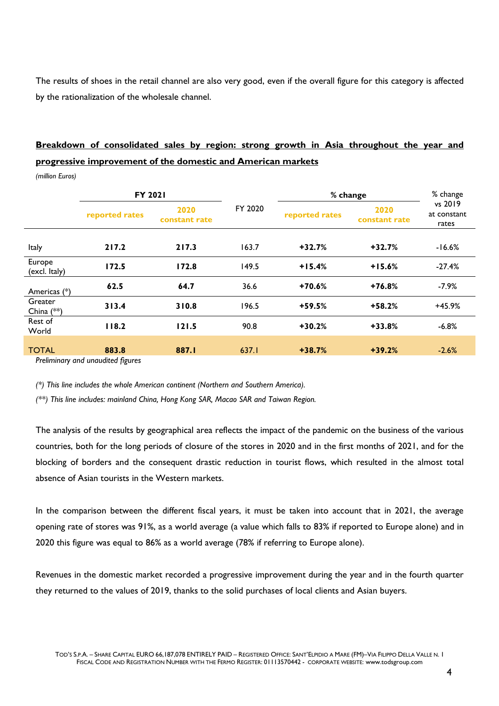The results of shoes in the retail channel are also very good, even if the overall figure for this category is affected by the rationalization of the wholesale channel.

# **Breakdown of consolidated sales by region: strong growth in Asia throughout the year and progressive improvement of the domestic and American markets**

*(million Euros)* 

|                         | <b>FY 2021</b> |                       |         | % change       |                       | % change                        |
|-------------------------|----------------|-----------------------|---------|----------------|-----------------------|---------------------------------|
|                         | reported rates | 2020<br>constant rate | FY 2020 | reported rates | 2020<br>constant rate | vs 2019<br>at constant<br>rates |
| Italy                   | 217.2          | 217.3                 | 163.7   | $+32.7%$       | $+32.7%$              | $-16.6%$                        |
| Europe<br>(excl. Italy) | 172.5          | 172.8                 | 149.5   | $+15.4%$       | $+15.6%$              | $-27.4%$                        |
| Americas (*)            | 62.5           | 64.7                  | 36.6    | $+70.6%$       | $+76.8%$              | $-7.9%$                         |
| Greater<br>China $(**)$ | 313.4          | 310.8                 | 196.5   | $+59.5%$       | $+58.2%$              | +45.9%                          |
| Rest of<br>World        | 118.2          | 121.5                 | 90.8    | $+30.2%$       | $+33.8%$              | $-6.8%$                         |
| <b>TOTAL</b>            | 883.8          | 887.1                 | 637.I   | $+38.7%$       | $+39.2%$              | $-2.6%$                         |

*Preliminary and unaudited figures*

*(\*) This line includes the whole American continent (Northern and Southern America).* 

*(\*\*) This line includes: mainland China, Hong Kong SAR, Macao SAR and Taiwan Region.* 

The analysis of the results by geographical area reflects the impact of the pandemic on the business of the various countries, both for the long periods of closure of the stores in 2020 and in the first months of 2021, and for the blocking of borders and the consequent drastic reduction in tourist flows, which resulted in the almost total absence of Asian tourists in the Western markets.

In the comparison between the different fiscal years, it must be taken into account that in 2021, the average opening rate of stores was 91%, as a world average (a value which falls to 83% if reported to Europe alone) and in 2020 this figure was equal to 86% as a world average (78% if referring to Europe alone).

Revenues in the domestic market recorded a progressive improvement during the year and in the fourth quarter they returned to the values of 2019, thanks to the solid purchases of local clients and Asian buyers.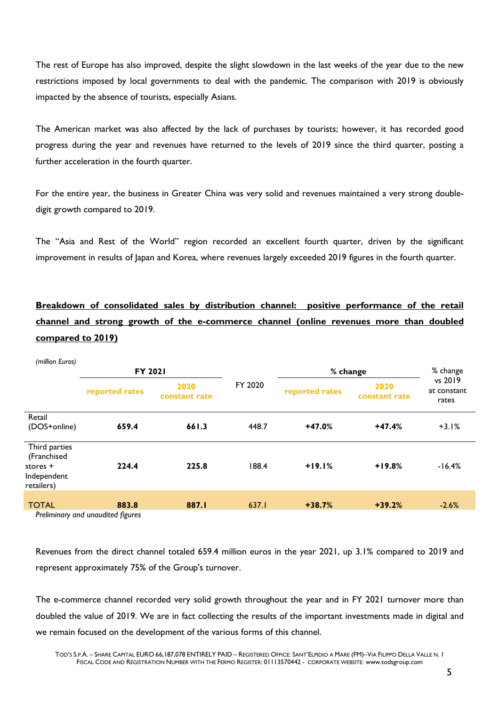The rest of Europe has also improved, despite the slight slowdown in the last weeks of the year due to the new restrictions imposed by local governments to deal with the pandemic. The comparison with 2019 is obviously impacted by the absence of tourists, especially Asians.

The American market was also affected by the lack of purchases by tourists; however, it has recorded good progress during the year and revenues have returned to the levels of 2019 since the third quarter, posting a further acceleration in the fourth quarter.

For the entire year, the business in Greater China was very solid and revenues maintained a very strong doubledigit growth compared to 2019.

The "Asia and Rest of the World" region recorded an excellent fourth quarter, driven by the significant improvement in results of Japan and Korea, where revenues largely exceeded 2019 figures in the fourth quarter.

**Breakdown of consolidated sales by distribution channel: positive performance of the retail channel and strong growth of the e-commerce channel (online revenues more than doubled compared to 2019)** 

| (million Euros)                                                       |                                   |                       |         |                |                       |                                 |
|-----------------------------------------------------------------------|-----------------------------------|-----------------------|---------|----------------|-----------------------|---------------------------------|
|                                                                       | <b>FY 2021</b>                    |                       |         | % change       |                       | % change                        |
|                                                                       | reported rates                    | 2020<br>constant rate | FY 2020 | reported rates | 2020<br>constant rate | vs 2019<br>at constant<br>rates |
| Retail                                                                |                                   |                       |         |                |                       |                                 |
| (DOS+online)                                                          | 659.4                             | 661.3                 | 448.7   | $+47.0%$       | $+47.4%$              | $+3.1%$                         |
| Third parties<br>(Franchised<br>stores +<br>Independent<br>retailers) | 224.4                             | 225.8                 | 188.4   | $+19.1%$       | $+19.8%$              | $-16.4%$                        |
| <b>TOTAL</b>                                                          | 883.8                             | 887.I                 | 637.I   | $+38.7%$       | $+39.2%$              | $-2.6%$                         |
|                                                                       | Preliminary and unaudited figures |                       |         |                |                       |                                 |

*Preliminary and unaudited figures*

Revenues from the direct channel totaled 659.4 million euros in the year 2021, up 3.1% compared to 2019 and represent approximately 75% of the Group's turnover.

The e-commerce channel recorded very solid growth throughout the year and in FY 2021 turnover more than doubled the value of 2019. We are in fact collecting the results of the important investments made in digital and we remain focused on the development of the various forms of this channel.